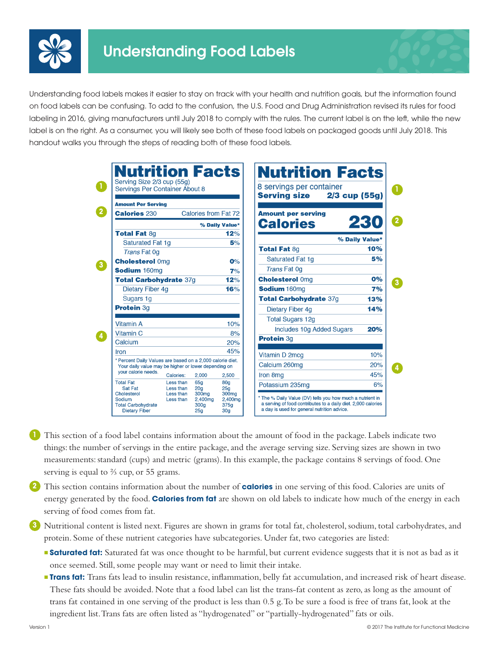





- **1** This section of a food label contains information about the amount of food in the package. Labels indicate two things: the number of servings in the entire package, and the average serving size. Serving sizes are shown in two measurements: standard (cups) and metric (grams). In this example, the package contains 8 servings of food. One serving is equal to ⅔ cup, or 55 grams.
- **2** This section contains information about the number of **calories** in one serving of this food. Calories are units of energy generated by the food. **Calories from fat** are shown on old labels to indicate how much of the energy in each serving of food comes from fat.
- **3** Nutritional content is listed next. Figures are shown in grams for total fat, cholesterol, sodium, total carbohydrates, and protein. Some of these nutrient categories have subcategories. Under fat, two categories are listed:
	- **Saturated fat:** Saturated fat was once thought to be harmful, but current evidence suggests that it is not as bad as it once seemed. Still, some people may want or need to limit their intake.
	- <sup>n</sup>**Trans fat:** Trans fats lead to insulin resistance, inflammation, belly fat accumulation, and increased risk of heart disease. These fats should be avoided. Note that a food label can list the trans-fat content as zero, as long as the amount of trans fat contained in one serving of the product is less than 0.5 g. To be sure a food is free of trans fat, look at the ingredient list. Trans fats are often listed as "hydrogenated" or "partially-hydrogenated" fats or oils.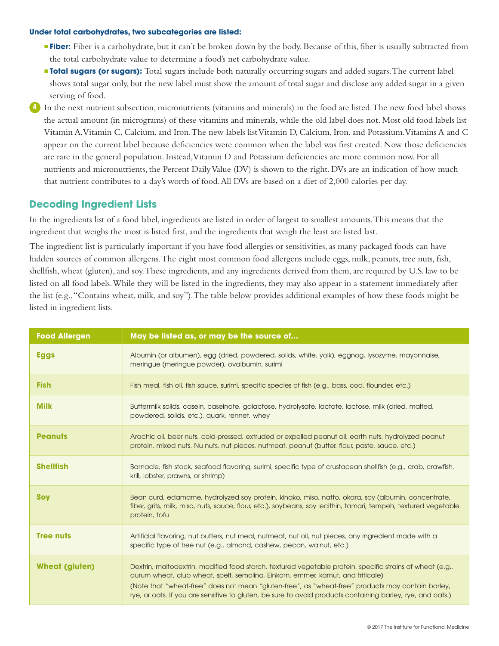## **Under total carbohydrates, two subcategories are listed:**

- <sup>n</sup> **Fiber:** Fiber is a carbohydrate, but it can't be broken down by the body. Because of this, fiber is usually subtracted from the total carbohydrate value to determine a food's net carbohydrate value.
- **Total sugars (or sugars):** Total sugars include both naturally occurring sugars and added sugars. The current label shows total sugar only, but the new label must show the amount of total sugar and disclose any added sugar in a given serving of food.
- **4** In the next nutrient subsection, micronutrients (vitamins and minerals) in the food are listed. The new food label shows the actual amount (in micrograms) of these vitamins and minerals, while the old label does not. Most old food labels list Vitamin A, Vitamin C, Calcium, and Iron. The new labels list Vitamin D, Calcium, Iron, and Potassium. Vitamins A and C appear on the current label because deficiencies were common when the label was first created. Now those deficiencies are rare in the general population. Instead, Vitamin D and Potassium deficiencies are more common now. For all nutrients and micronutrients, the Percent Daily Value (DV) is shown to the right. DVs are an indication of how much that nutrient contributes to a day's worth of food. All DVs are based on a diet of 2,000 calories per day.

## **Decoding Ingredient Lists**

In the ingredients list of a food label, ingredients are listed in order of largest to smallest amounts. This means that the ingredient that weighs the most is listed first, and the ingredients that weigh the least are listed last.

The ingredient list is particularly important if you have food allergies or sensitivities, as many packaged foods can have hidden sources of common allergens. The eight most common food allergens include eggs, milk, peanuts, tree nuts, fish, shellfish, wheat (gluten), and soy. These ingredients, and any ingredients derived from them, are required by U.S. law to be listed on all food labels. While they will be listed in the ingredients, they may also appear in a statement immediately after the list (e.g., "Contains wheat, milk, and soy"). The table below provides additional examples of how these foods might be listed in ingredient lists.

| <b>Food Allergen</b>  | May be listed as, or may be the source of                                                                                                                                                                                                                                                                                                                                                                       |
|-----------------------|-----------------------------------------------------------------------------------------------------------------------------------------------------------------------------------------------------------------------------------------------------------------------------------------------------------------------------------------------------------------------------------------------------------------|
| <b>Eggs</b>           | Albumin (or albumen), egg (dried, powdered, solids, white, yolk), eggnog, lysozyme, mayonnaise,<br>meringue (meringue powder), ovalbumin, surimi                                                                                                                                                                                                                                                                |
| <b>Fish</b>           | Fish meal, fish oil, fish sauce, surimi, specific species of fish (e.g., bass, cod, flounder, etc.)                                                                                                                                                                                                                                                                                                             |
| <b>Milk</b>           | Buttermilk solids, casein, caseinate, galactose, hydrolysate, lactate, lactose, milk (dried, malted,<br>powdered, solids, etc.), quark, rennet, whey                                                                                                                                                                                                                                                            |
| <b>Peanuts</b>        | Arachic oil, beer nuts, cold-pressed, extruded or expelled peanut oil, earth nuts, hydrolyzed peanut<br>protein, mixed nuts, Nu nuts, nut pieces, nutmeat, peanut (butter, flour, paste, sauce, etc.)                                                                                                                                                                                                           |
| <b>Shellfish</b>      | Barnacle, fish stock, seafood flavoring, surimi, specific type of crustacean shellfish (e.g., crab, crawfish,<br>krill, lobster, prawns, or shrimp)                                                                                                                                                                                                                                                             |
| <b>Soy</b>            | Bean curd, edamame, hydrolyzed soy protein, kinako, miso, natto, okara, soy (albumin, concentrate,<br>fiber, grits, milk, miso, nuts, sauce, flour, etc.), soybeans, soy lecithin, tamari, tempeh, textured vegetable<br>protein, tofu                                                                                                                                                                          |
| <b>Tree nuts</b>      | Artificial flavoring, nut butters, nut meal, nutmeat, nut oil, nut pieces, any ingredient made with a<br>specific type of tree nut (e.g., almond, cashew, pecan, walnut, etc.)                                                                                                                                                                                                                                  |
| <b>Wheat (gluten)</b> | Dextrin, maltodextrin, modified food starch, textured vegetable protein, specific strains of wheat (e.g.,<br>durum wheat, club wheat, spelt, semolina, Einkorn, emmer, kamut, and triticale)<br>(Note that "wheat-free" does not mean "gluten-free", as "wheat-free" products may contain barley,<br>rye, or oats. If you are sensitive to gluten, be sure to avoid products containing barley, rye, and oats.) |